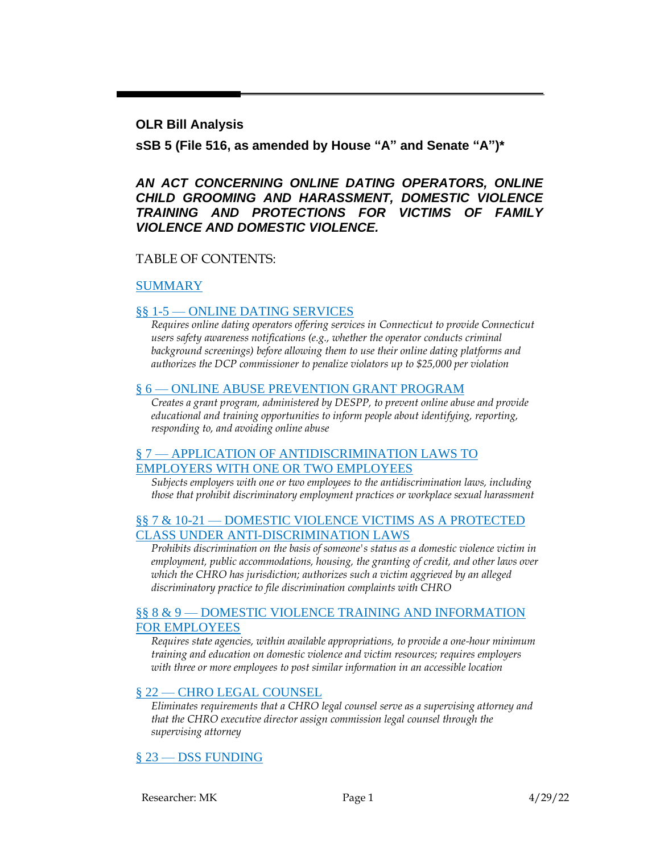#### **OLR Bill Analysis**

**sSB 5 (File 516, as amended by House "A" and Senate "A")\***

#### *AN ACT CONCERNING ONLINE DATING OPERATORS, ONLINE CHILD GROOMING AND HARASSMENT, DOMESTIC VIOLENCE TRAINING AND PROTECTIONS FOR VICTIMS OF FAMILY VIOLENCE AND DOMESTIC VIOLENCE.*

#### TABLE OF CONTENTS:

#### [SUMMARY](#page-1-0)

#### §§ 1-5 — [ONLINE DATING SERVICES](#page-2-0)

*Requires online dating operators offering services in Connecticut to provide Connecticut users safety awareness notifications (e.g., whether the operator conducts criminal background screenings) before allowing them to use their online dating platforms and authorizes the DCP commissioner to penalize violators up to \$25,000 per violation*

#### § 6 — [ONLINE ABUSE PREVENTION GRANT PROGRAM](#page-6-0)

*Creates a grant program, administered by DESPP, to prevent online abuse and provide educational and training opportunities to inform people about identifying, reporting, responding to, and avoiding online abuse*

#### § 7 — [APPLICATION OF ANTIDISCRIMINATION LAWS TO](#page-7-0)  [EMPLOYERS WITH ONE OR TWO EMPLOYEES](#page-7-0)

*Subjects employers with one or two employees to the antidiscrimination laws, including those that prohibit discriminatory employment practices or workplace sexual harassment*

#### §§ 7 & 10-21 — [DOMESTIC VIOLENCE VICTIMS AS A PROTECTED](#page-9-0)  [CLASS UNDER ANTI-DISCRIMINATION LAWS](#page-9-0)

*Prohibits discrimination on the basis of someone's status as a domestic violence victim in employment, public accommodations, housing, the granting of credit, and other laws over which the CHRO has jurisdiction; authorizes such a victim aggrieved by an alleged discriminatory practice to file discrimination complaints with CHRO*

#### §§ 8 & 9 — [DOMESTIC VIOLENCE TRAINING AND INFORMATION](#page-14-0)  [FOR EMPLOYEES](#page-14-0)

*Requires state agencies, within available appropriations, to provide a one-hour minimum training and education on domestic violence and victim resources; requires employers with three or more employees to post similar information in an accessible location*

#### § 22 — [CHRO LEGAL COUNSEL](#page-15-0)

*Eliminates requirements that a CHRO legal counsel serve as a supervising attorney and that the CHRO executive director assign commission legal counsel through the supervising attorney*

#### § 23 — [DSS FUNDING](#page-16-0)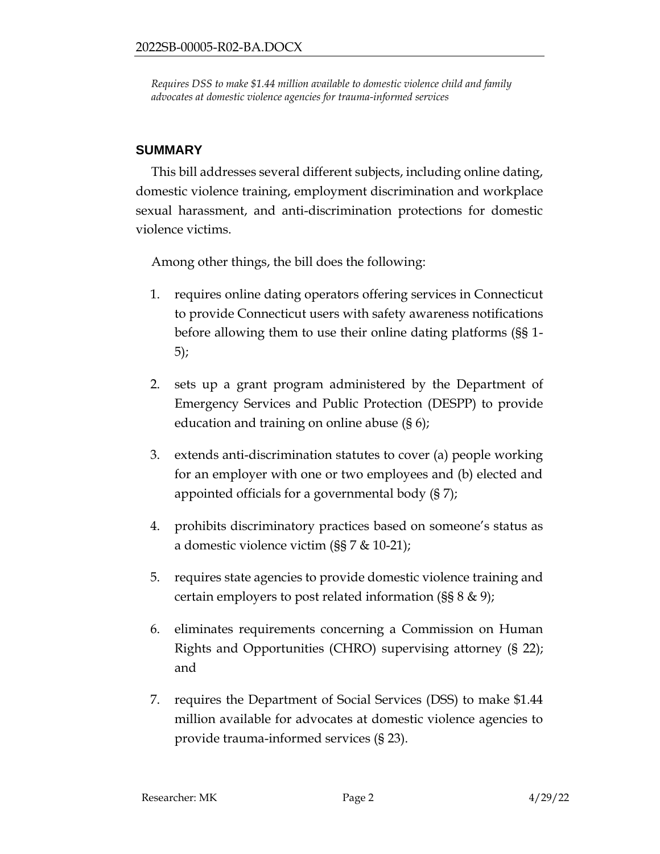*Requires DSS to make \$1.44 million available to domestic violence child and family advocates at domestic violence agencies for trauma-informed services*

## <span id="page-1-0"></span>**SUMMARY**

This bill addresses several different subjects, including online dating, domestic violence training, employment discrimination and workplace sexual harassment, and anti-discrimination protections for domestic violence victims.

Among other things, the bill does the following:

- 1. requires online dating operators offering services in Connecticut to provide Connecticut users with safety awareness notifications before allowing them to use their online dating platforms (§§ 1- 5);
- 2. sets up a grant program administered by the Department of Emergency Services and Public Protection (DESPP) to provide education and training on online abuse (§ 6);
- 3. extends anti-discrimination statutes to cover (a) people working for an employer with one or two employees and (b) elected and appointed officials for a governmental body (§ 7);
- 4. prohibits discriminatory practices based on someone's status as a domestic violence victim (§§ 7 & 10-21);
- 5. requires state agencies to provide domestic violence training and certain employers to post related information (§§ 8 & 9);
- 6. eliminates requirements concerning a Commission on Human Rights and Opportunities (CHRO) supervising attorney (§ 22); and
- 7. requires the Department of Social Services (DSS) to make \$1.44 million available for advocates at domestic violence agencies to provide trauma-informed services (§ 23).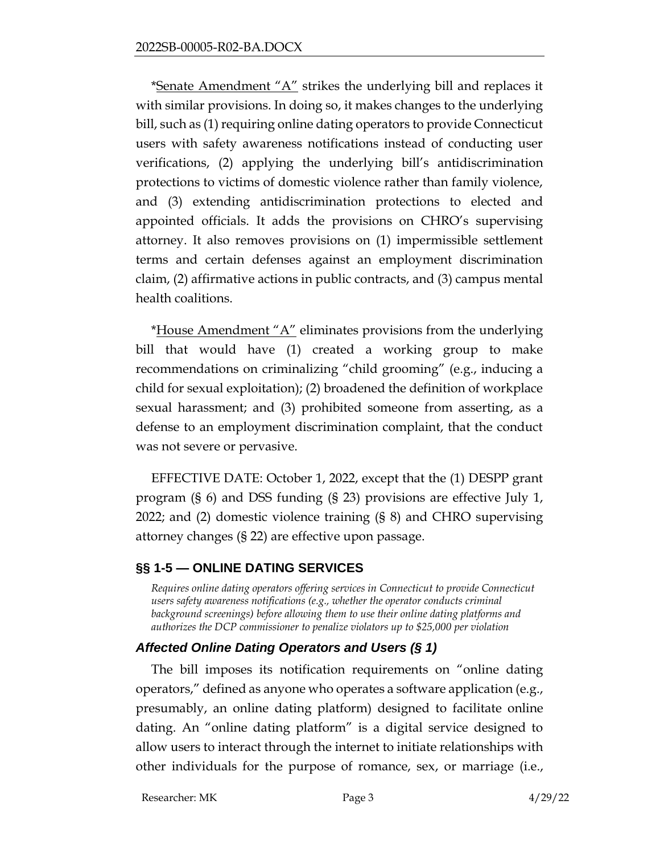\*Senate Amendment " $A$ " strikes the underlying bill and replaces it with similar provisions. In doing so, it makes changes to the underlying bill, such as (1) requiring online dating operators to provide Connecticut users with safety awareness notifications instead of conducting user verifications, (2) applying the underlying bill's antidiscrimination protections to victims of domestic violence rather than family violence, and (3) extending antidiscrimination protections to elected and appointed officials. It adds the provisions on CHRO's supervising attorney. It also removes provisions on (1) impermissible settlement terms and certain defenses against an employment discrimination claim, (2) affirmative actions in public contracts, and (3) campus mental health coalitions.

\*House Amendment "A" eliminates provisions from the underlying bill that would have (1) created a working group to make recommendations on criminalizing "child grooming" (e.g., inducing a child for sexual exploitation); (2) broadened the definition of workplace sexual harassment; and (3) prohibited someone from asserting, as a defense to an employment discrimination complaint, that the conduct was not severe or pervasive.

EFFECTIVE DATE: October 1, 2022, except that the (1) DESPP grant program (§ 6) and DSS funding (§ 23) provisions are effective July 1, 2022; and (2) domestic violence training (§ 8) and CHRO supervising attorney changes (§ 22) are effective upon passage.

# <span id="page-2-0"></span>**§§ 1-5 — ONLINE DATING SERVICES**

*Requires online dating operators offering services in Connecticut to provide Connecticut users safety awareness notifications (e.g., whether the operator conducts criminal background screenings) before allowing them to use their online dating platforms and authorizes the DCP commissioner to penalize violators up to \$25,000 per violation*

# *Affected Online Dating Operators and Users (§ 1)*

The bill imposes its notification requirements on "online dating operators," defined as anyone who operates a software application (e.g., presumably, an online dating platform) designed to facilitate online dating. An "online dating platform" is a digital service designed to allow users to interact through the internet to initiate relationships with other individuals for the purpose of romance, sex, or marriage (i.e.,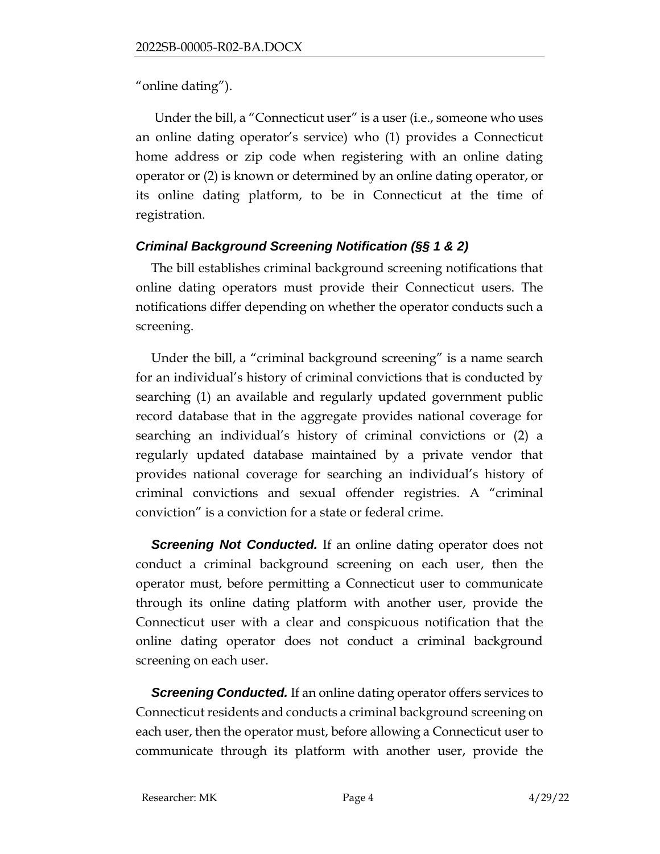"online dating").

Under the bill, a "Connecticut user" is a user (i.e., someone who uses an online dating operator's service) who (1) provides a Connecticut home address or zip code when registering with an online dating operator or (2) is known or determined by an online dating operator, or its online dating platform, to be in Connecticut at the time of registration.

# *Criminal Background Screening Notification (§§ 1 & 2)*

The bill establishes criminal background screening notifications that online dating operators must provide their Connecticut users. The notifications differ depending on whether the operator conducts such a screening.

Under the bill, a "criminal background screening" is a name search for an individual's history of criminal convictions that is conducted by searching (1) an available and regularly updated government public record database that in the aggregate provides national coverage for searching an individual's history of criminal convictions or (2) a regularly updated database maintained by a private vendor that provides national coverage for searching an individual's history of criminal convictions and sexual offender registries. A "criminal conviction" is a conviction for a state or federal crime.

**Screening Not Conducted.** If an online dating operator does not conduct a criminal background screening on each user, then the operator must, before permitting a Connecticut user to communicate through its online dating platform with another user, provide the Connecticut user with a clear and conspicuous notification that the online dating operator does not conduct a criminal background screening on each user.

**Screening Conducted.** If an online dating operator offers services to Connecticut residents and conducts a criminal background screening on each user, then the operator must, before allowing a Connecticut user to communicate through its platform with another user, provide the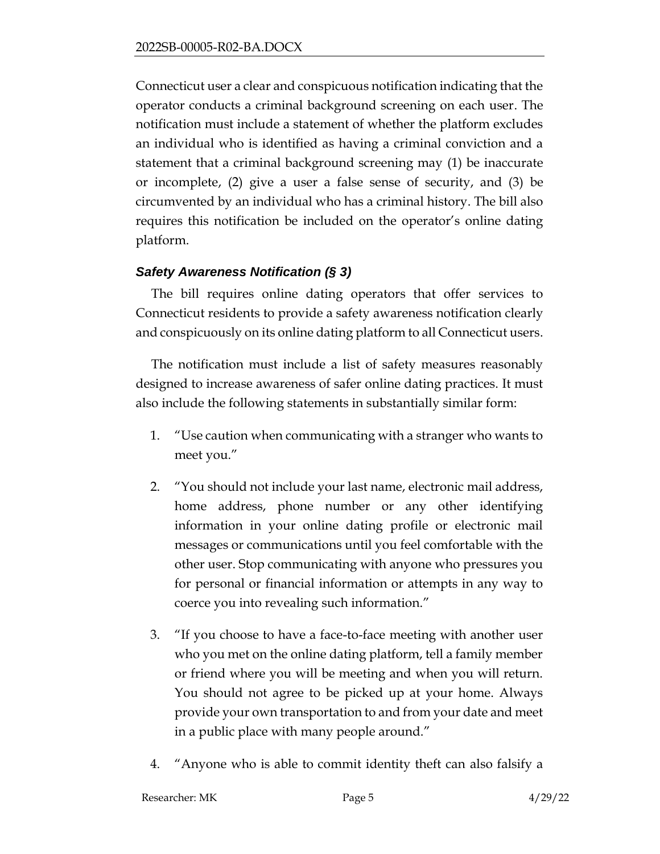Connecticut user a clear and conspicuous notification indicating that the operator conducts a criminal background screening on each user. The notification must include a statement of whether the platform excludes an individual who is identified as having a criminal conviction and a statement that a criminal background screening may (1) be inaccurate or incomplete, (2) give a user a false sense of security, and (3) be circumvented by an individual who has a criminal history. The bill also requires this notification be included on the operator's online dating platform.

### *Safety Awareness Notification (§ 3)*

The bill requires online dating operators that offer services to Connecticut residents to provide a safety awareness notification clearly and conspicuously on its online dating platform to all Connecticut users.

The notification must include a list of safety measures reasonably designed to increase awareness of safer online dating practices. It must also include the following statements in substantially similar form:

- 1. "Use caution when communicating with a stranger who wants to meet you."
- 2. "You should not include your last name, electronic mail address, home address, phone number or any other identifying information in your online dating profile or electronic mail messages or communications until you feel comfortable with the other user. Stop communicating with anyone who pressures you for personal or financial information or attempts in any way to coerce you into revealing such information."
- 3. "If you choose to have a face-to-face meeting with another user who you met on the online dating platform, tell a family member or friend where you will be meeting and when you will return. You should not agree to be picked up at your home. Always provide your own transportation to and from your date and meet in a public place with many people around."
- 4. "Anyone who is able to commit identity theft can also falsify a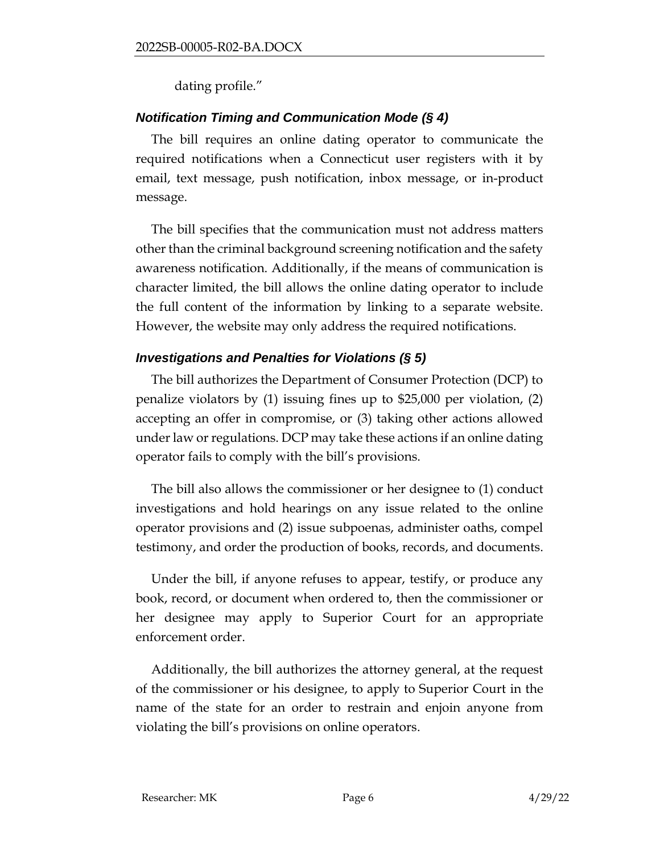dating profile."

# *Notification Timing and Communication Mode (§ 4)*

The bill requires an online dating operator to communicate the required notifications when a Connecticut user registers with it by email, text message, push notification, inbox message, or in-product message.

The bill specifies that the communication must not address matters other than the criminal background screening notification and the safety awareness notification. Additionally, if the means of communication is character limited, the bill allows the online dating operator to include the full content of the information by linking to a separate website. However, the website may only address the required notifications.

# *Investigations and Penalties for Violations (§ 5)*

The bill authorizes the Department of Consumer Protection (DCP) to penalize violators by (1) issuing fines up to \$25,000 per violation, (2) accepting an offer in compromise, or (3) taking other actions allowed under law or regulations. DCP may take these actions if an online dating operator fails to comply with the bill's provisions.

The bill also allows the commissioner or her designee to (1) conduct investigations and hold hearings on any issue related to the online operator provisions and (2) issue subpoenas, administer oaths, compel testimony, and order the production of books, records, and documents.

Under the bill, if anyone refuses to appear, testify, or produce any book, record, or document when ordered to, then the commissioner or her designee may apply to Superior Court for an appropriate enforcement order.

Additionally, the bill authorizes the attorney general, at the request of the commissioner or his designee, to apply to Superior Court in the name of the state for an order to restrain and enjoin anyone from violating the bill's provisions on online operators.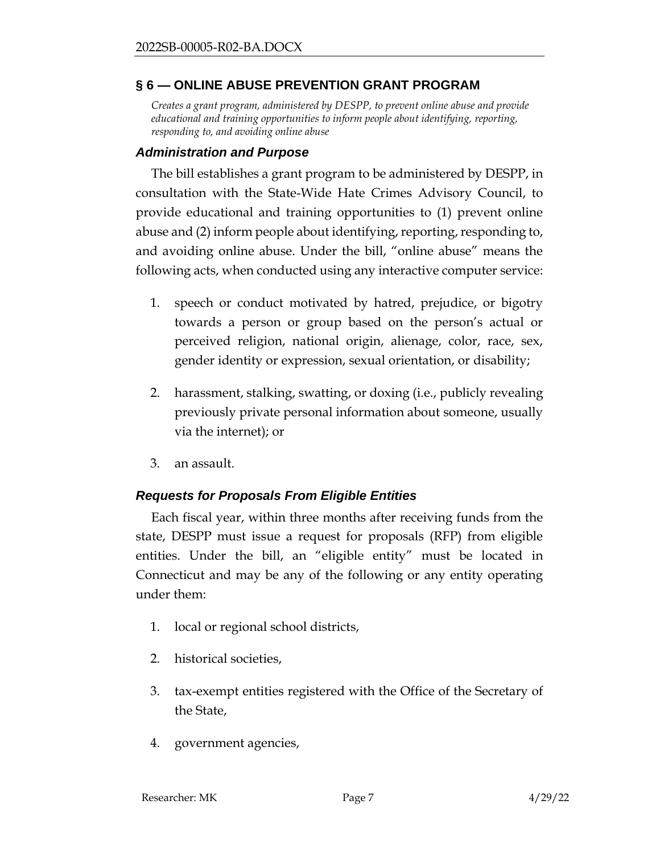# <span id="page-6-0"></span>**§ 6 — ONLINE ABUSE PREVENTION GRANT PROGRAM**

*Creates a grant program, administered by DESPP, to prevent online abuse and provide educational and training opportunities to inform people about identifying, reporting, responding to, and avoiding online abuse*

### *Administration and Purpose*

The bill establishes a grant program to be administered by DESPP, in consultation with the State-Wide Hate Crimes Advisory Council, to provide educational and training opportunities to (1) prevent online abuse and (2) inform people about identifying, reporting, responding to, and avoiding online abuse. Under the bill, "online abuse" means the following acts, when conducted using any interactive computer service:

- 1. speech or conduct motivated by hatred, prejudice, or bigotry towards a person or group based on the person's actual or perceived religion, national origin, alienage, color, race, sex, gender identity or expression, sexual orientation, or disability;
- 2. harassment, stalking, swatting, or doxing (i.e., publicly revealing previously private personal information about someone, usually via the internet); or
- 3. an assault.

## *Requests for Proposals From Eligible Entities*

Each fiscal year, within three months after receiving funds from the state, DESPP must issue a request for proposals (RFP) from eligible entities. Under the bill, an "eligible entity" must be located in Connecticut and may be any of the following or any entity operating under them:

- 1. local or regional school districts,
- 2. historical societies,
- 3. tax-exempt entities registered with the Office of the Secretary of the State,
- 4. government agencies,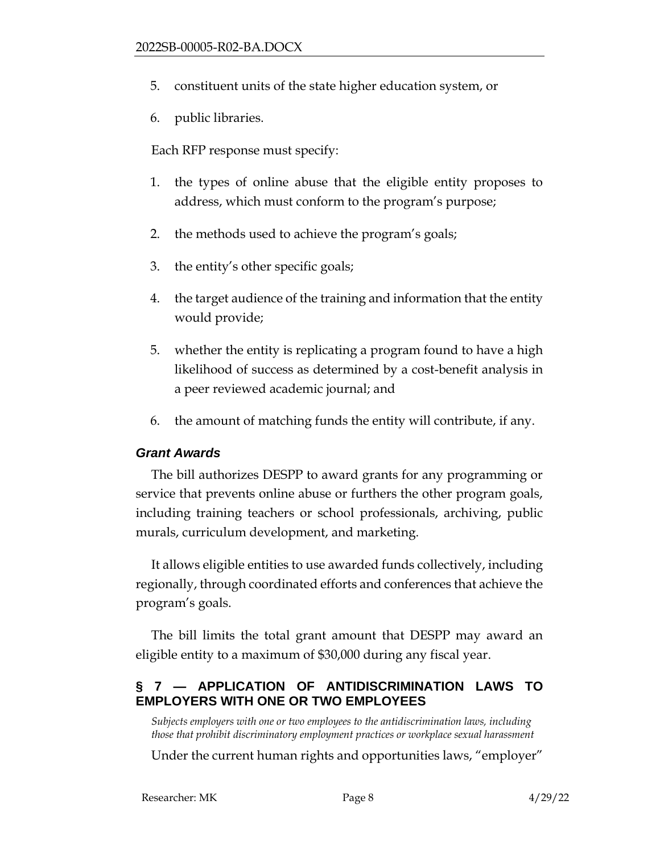- 5. constituent units of the state higher education system, or
- 6. public libraries.

Each RFP response must specify:

- 1. the types of online abuse that the eligible entity proposes to address, which must conform to the program's purpose;
- 2. the methods used to achieve the program's goals;
- 3. the entity's other specific goals;
- 4. the target audience of the training and information that the entity would provide;
- 5. whether the entity is replicating a program found to have a high likelihood of success as determined by a cost-benefit analysis in a peer reviewed academic journal; and
- 6. the amount of matching funds the entity will contribute, if any.

#### *Grant Awards*

The bill authorizes DESPP to award grants for any programming or service that prevents online abuse or furthers the other program goals, including training teachers or school professionals, archiving, public murals, curriculum development, and marketing.

It allows eligible entities to use awarded funds collectively, including regionally, through coordinated efforts and conferences that achieve the program's goals.

The bill limits the total grant amount that DESPP may award an eligible entity to a maximum of \$30,000 during any fiscal year.

## <span id="page-7-0"></span>**§ 7 — APPLICATION OF ANTIDISCRIMINATION LAWS TO EMPLOYERS WITH ONE OR TWO EMPLOYEES**

*Subjects employers with one or two employees to the antidiscrimination laws, including those that prohibit discriminatory employment practices or workplace sexual harassment*

Under the current human rights and opportunities laws, "employer"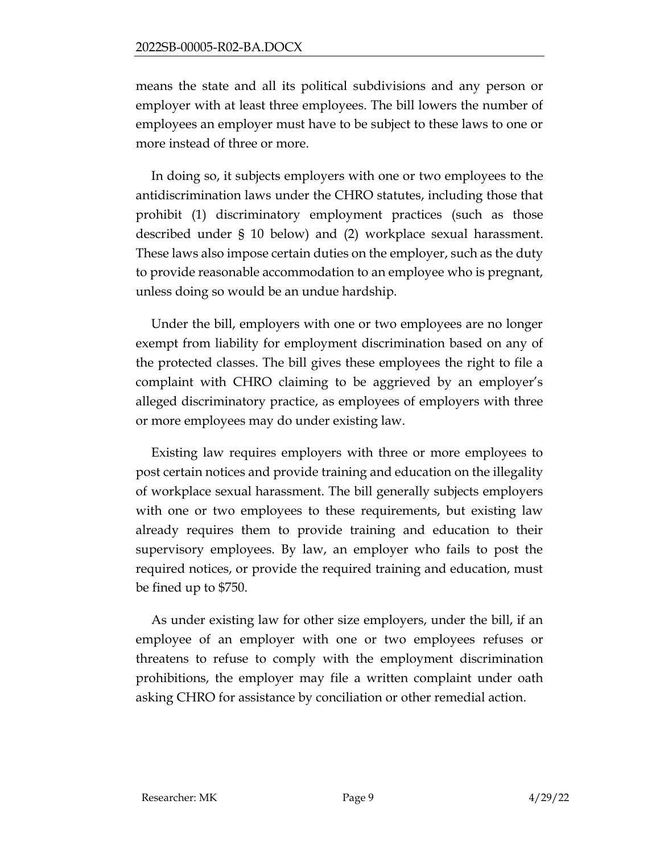means the state and all its political subdivisions and any person or employer with at least three employees. The bill lowers the number of employees an employer must have to be subject to these laws to one or more instead of three or more.

In doing so, it subjects employers with one or two employees to the antidiscrimination laws under the CHRO statutes, including those that prohibit (1) discriminatory employment practices (such as those described under § 10 below) and (2) workplace sexual harassment. These laws also impose certain duties on the employer, such as the duty to provide reasonable accommodation to an employee who is pregnant, unless doing so would be an undue hardship.

Under the bill, employers with one or two employees are no longer exempt from liability for employment discrimination based on any of the protected classes. The bill gives these employees the right to file a complaint with CHRO claiming to be aggrieved by an employer's alleged discriminatory practice, as employees of employers with three or more employees may do under existing law.

Existing law requires employers with three or more employees to post certain notices and provide training and education on the illegality of workplace sexual harassment. The bill generally subjects employers with one or two employees to these requirements, but existing law already requires them to provide training and education to their supervisory employees. By law, an employer who fails to post the required notices, or provide the required training and education, must be fined up to \$750.

As under existing law for other size employers, under the bill, if an employee of an employer with one or two employees refuses or threatens to refuse to comply with the employment discrimination prohibitions, the employer may file a written complaint under oath asking CHRO for assistance by conciliation or other remedial action.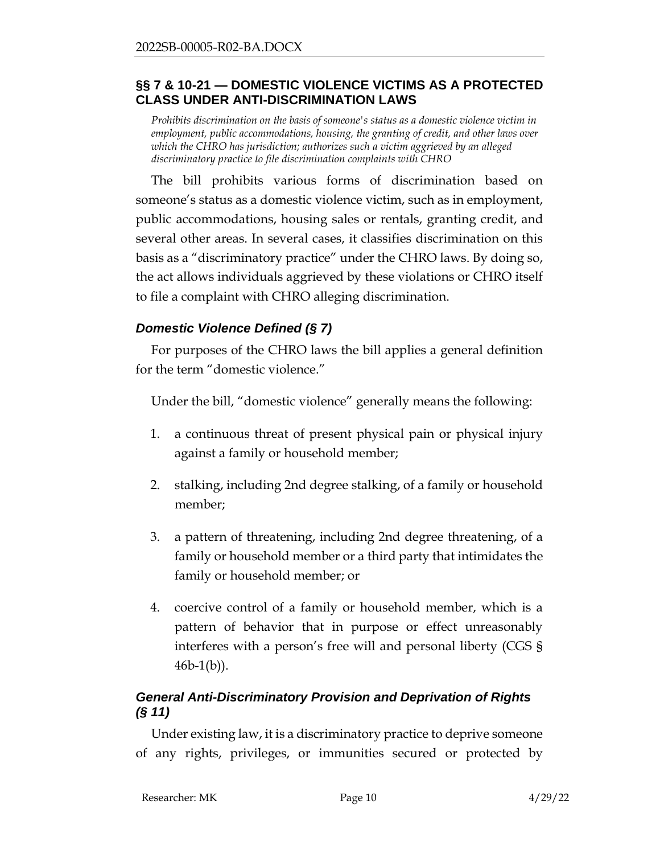### <span id="page-9-0"></span>**§§ 7 & 10-21 — DOMESTIC VIOLENCE VICTIMS AS A PROTECTED CLASS UNDER ANTI-DISCRIMINATION LAWS**

*Prohibits discrimination on the basis of someone's status as a domestic violence victim in employment, public accommodations, housing, the granting of credit, and other laws over which the CHRO has jurisdiction; authorizes such a victim aggrieved by an alleged discriminatory practice to file discrimination complaints with CHRO* 

The bill prohibits various forms of discrimination based on someone's status as a domestic violence victim, such as in employment, public accommodations, housing sales or rentals, granting credit, and several other areas. In several cases, it classifies discrimination on this basis as a "discriminatory practice" under the CHRO laws. By doing so, the act allows individuals aggrieved by these violations or CHRO itself to file a complaint with CHRO alleging discrimination.

## *Domestic Violence Defined (§ 7)*

For purposes of the CHRO laws the bill applies a general definition for the term "domestic violence."

Under the bill, "domestic violence" generally means the following:

- 1. a continuous threat of present physical pain or physical injury against a family or household member;
- 2. stalking, including 2nd degree stalking, of a family or household member;
- 3. a pattern of threatening, including 2nd degree threatening, of a family or household member or a third party that intimidates the family or household member; or
- 4. coercive control of a family or household member, which is a pattern of behavior that in purpose or effect unreasonably interferes with a person's free will and personal liberty (CGS §  $46b-1(b)$ ).

# *General Anti-Discriminatory Provision and Deprivation of Rights (§ 11)*

Under existing law, it is a discriminatory practice to deprive someone of any rights, privileges, or immunities secured or protected by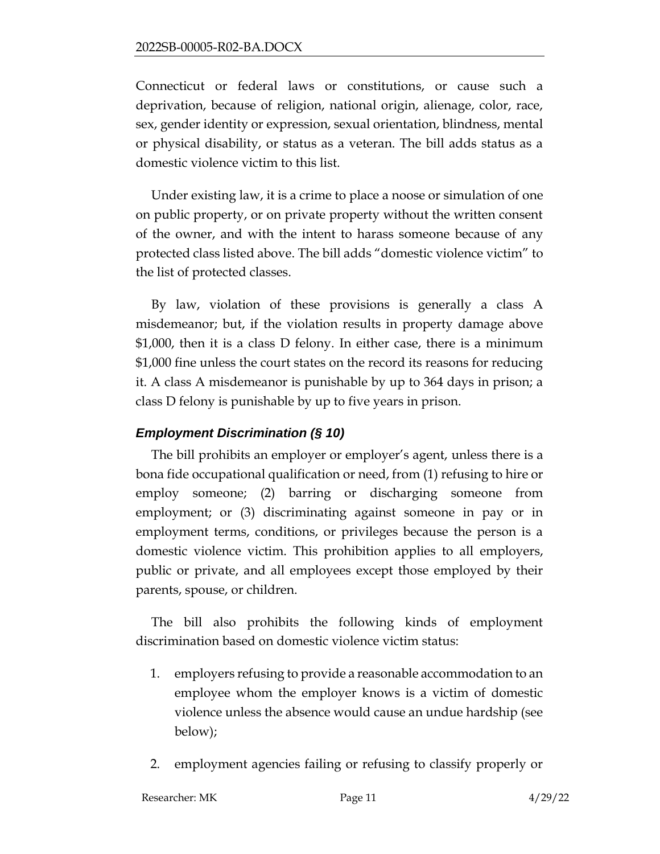Connecticut or federal laws or constitutions, or cause such a deprivation, because of religion, national origin, alienage, color, race, sex, gender identity or expression, sexual orientation, blindness, mental or physical disability, or status as a veteran. The bill adds status as a domestic violence victim to this list.

Under existing law, it is a crime to place a noose or simulation of one on public property, or on private property without the written consent of the owner, and with the intent to harass someone because of any protected class listed above. The bill adds "domestic violence victim" to the list of protected classes.

By law, violation of these provisions is generally a class A misdemeanor; but, if the violation results in property damage above \$1,000, then it is a class D felony. In either case, there is a minimum \$1,000 fine unless the court states on the record its reasons for reducing it. A class A misdemeanor is punishable by up to 364 days in prison; a class D felony is punishable by up to five years in prison.

## *Employment Discrimination (§ 10)*

The bill prohibits an employer or employer's agent, unless there is a bona fide occupational qualification or need, from (1) refusing to hire or employ someone; (2) barring or discharging someone from employment; or (3) discriminating against someone in pay or in employment terms, conditions, or privileges because the person is a domestic violence victim. This prohibition applies to all employers, public or private, and all employees except those employed by their parents, spouse, or children.

The bill also prohibits the following kinds of employment discrimination based on domestic violence victim status:

- 1. employers refusing to provide a reasonable accommodation to an employee whom the employer knows is a victim of domestic violence unless the absence would cause an undue hardship (see below);
- 2. employment agencies failing or refusing to classify properly or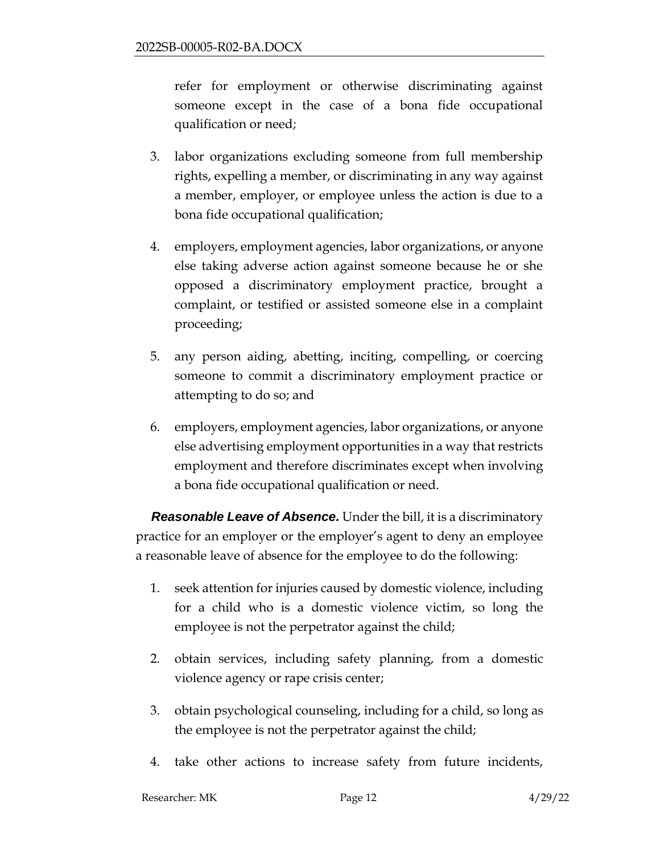refer for employment or otherwise discriminating against someone except in the case of a bona fide occupational qualification or need;

- 3. labor organizations excluding someone from full membership rights, expelling a member, or discriminating in any way against a member, employer, or employee unless the action is due to a bona fide occupational qualification;
- 4. employers, employment agencies, labor organizations, or anyone else taking adverse action against someone because he or she opposed a discriminatory employment practice, brought a complaint, or testified or assisted someone else in a complaint proceeding;
- 5. any person aiding, abetting, inciting, compelling, or coercing someone to commit a discriminatory employment practice or attempting to do so; and
- 6. employers, employment agencies, labor organizations, or anyone else advertising employment opportunities in a way that restricts employment and therefore discriminates except when involving a bona fide occupational qualification or need.

*Reasonable Leave of Absence.* Under the bill, it is a discriminatory practice for an employer or the employer's agent to deny an employee a reasonable leave of absence for the employee to do the following:

- 1. seek attention for injuries caused by domestic violence, including for a child who is a domestic violence victim, so long the employee is not the perpetrator against the child;
- 2. obtain services, including safety planning, from a domestic violence agency or rape crisis center;
- 3. obtain psychological counseling, including for a child, so long as the employee is not the perpetrator against the child;
- 4. take other actions to increase safety from future incidents,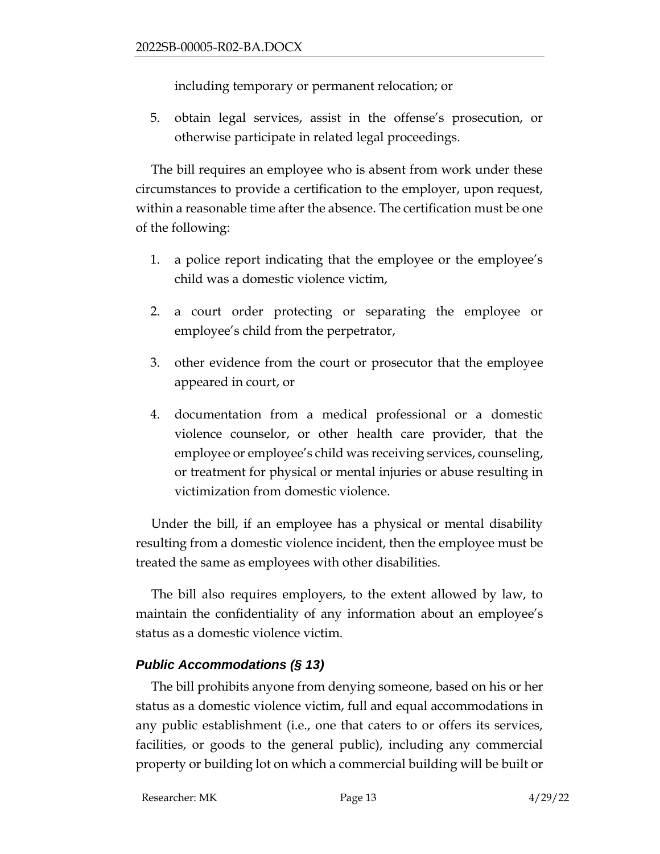including temporary or permanent relocation; or

5. obtain legal services, assist in the offense's prosecution, or otherwise participate in related legal proceedings.

The bill requires an employee who is absent from work under these circumstances to provide a certification to the employer, upon request, within a reasonable time after the absence. The certification must be one of the following:

- 1. a police report indicating that the employee or the employee's child was a domestic violence victim,
- 2. a court order protecting or separating the employee or employee's child from the perpetrator,
- 3. other evidence from the court or prosecutor that the employee appeared in court, or
- 4. documentation from a medical professional or a domestic violence counselor, or other health care provider, that the employee or employee's child was receiving services, counseling, or treatment for physical or mental injuries or abuse resulting in victimization from domestic violence.

Under the bill, if an employee has a physical or mental disability resulting from a domestic violence incident, then the employee must be treated the same as employees with other disabilities.

The bill also requires employers, to the extent allowed by law, to maintain the confidentiality of any information about an employee's status as a domestic violence victim.

## *Public Accommodations (§ 13)*

The bill prohibits anyone from denying someone, based on his or her status as a domestic violence victim, full and equal accommodations in any public establishment (i.e., one that caters to or offers its services, facilities, or goods to the general public), including any commercial property or building lot on which a commercial building will be built or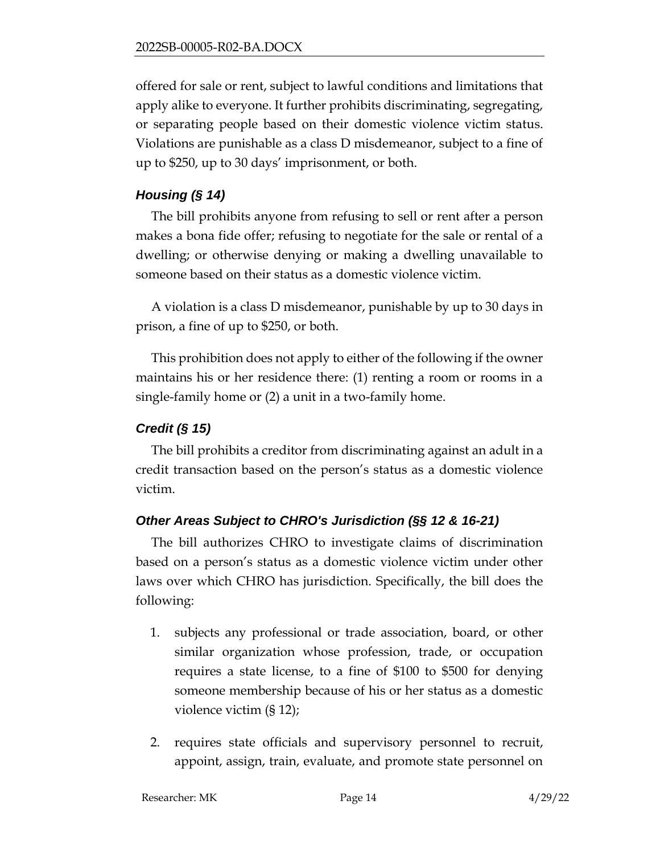offered for sale or rent, subject to lawful conditions and limitations that apply alike to everyone. It further prohibits discriminating, segregating, or separating people based on their domestic violence victim status. Violations are punishable as a class D misdemeanor, subject to a fine of up to \$250, up to 30 days' imprisonment, or both.

# *Housing (§ 14)*

The bill prohibits anyone from refusing to sell or rent after a person makes a bona fide offer; refusing to negotiate for the sale or rental of a dwelling; or otherwise denying or making a dwelling unavailable to someone based on their status as a domestic violence victim.

A violation is a class D misdemeanor, punishable by up to 30 days in prison, a fine of up to \$250, or both.

This prohibition does not apply to either of the following if the owner maintains his or her residence there: (1) renting a room or rooms in a single-family home or (2) a unit in a two-family home.

# *Credit (§ 15)*

The bill prohibits a creditor from discriminating against an adult in a credit transaction based on the person's status as a domestic violence victim.

# *Other Areas Subject to CHRO's Jurisdiction (§§ 12 & 16-21)*

The bill authorizes CHRO to investigate claims of discrimination based on a person's status as a domestic violence victim under other laws over which CHRO has jurisdiction. Specifically, the bill does the following:

- 1. subjects any professional or trade association, board, or other similar organization whose profession, trade, or occupation requires a state license, to a fine of \$100 to \$500 for denying someone membership because of his or her status as a domestic violence victim (§ 12);
- 2. requires state officials and supervisory personnel to recruit, appoint, assign, train, evaluate, and promote state personnel on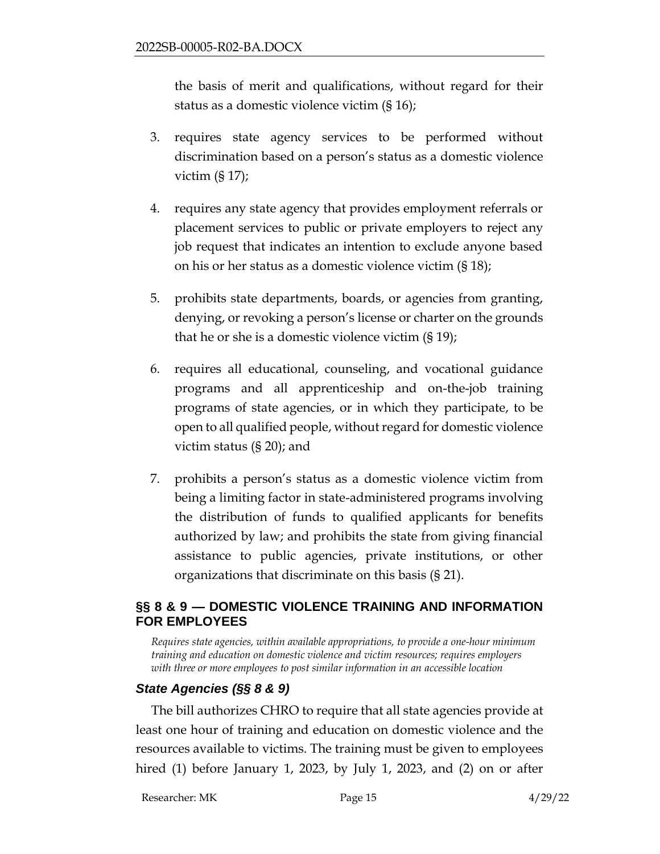the basis of merit and qualifications, without regard for their status as a domestic violence victim (§ 16);

- 3. requires state agency services to be performed without discrimination based on a person's status as a domestic violence victim  $(\S 17)$ ;
- 4. requires any state agency that provides employment referrals or placement services to public or private employers to reject any job request that indicates an intention to exclude anyone based on his or her status as a domestic violence victim (§ 18);
- 5. prohibits state departments, boards, or agencies from granting, denying, or revoking a person's license or charter on the grounds that he or she is a domestic violence victim (§ 19);
- 6. requires all educational, counseling, and vocational guidance programs and all apprenticeship and on-the-job training programs of state agencies, or in which they participate, to be open to all qualified people, without regard for domestic violence victim status (§ 20); and
- 7. prohibits a person's status as a domestic violence victim from being a limiting factor in state-administered programs involving the distribution of funds to qualified applicants for benefits authorized by law; and prohibits the state from giving financial assistance to public agencies, private institutions, or other organizations that discriminate on this basis (§ 21).

## <span id="page-14-0"></span>**§§ 8 & 9 — DOMESTIC VIOLENCE TRAINING AND INFORMATION FOR EMPLOYEES**

*Requires state agencies, within available appropriations, to provide a one-hour minimum training and education on domestic violence and victim resources; requires employers with three or more employees to post similar information in an accessible location* 

## *State Agencies (§§ 8 & 9)*

The bill authorizes CHRO to require that all state agencies provide at least one hour of training and education on domestic violence and the resources available to victims. The training must be given to employees hired (1) before January 1, 2023, by July 1, 2023, and (2) on or after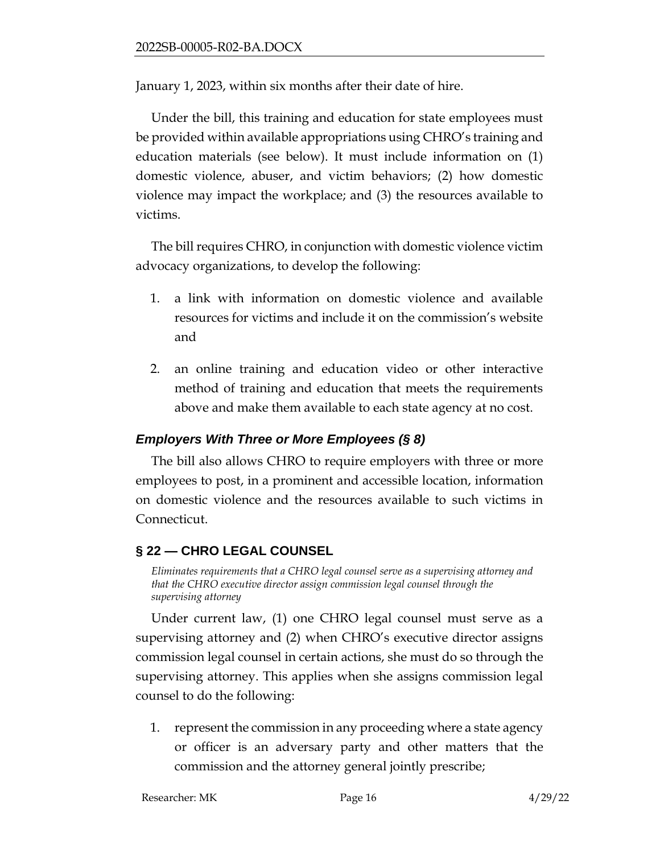January 1, 2023, within six months after their date of hire.

Under the bill, this training and education for state employees must be provided within available appropriations using CHRO's training and education materials (see below). It must include information on (1) domestic violence, abuser, and victim behaviors; (2) how domestic violence may impact the workplace; and (3) the resources available to victims.

The bill requires CHRO, in conjunction with domestic violence victim advocacy organizations, to develop the following:

- 1. a link with information on domestic violence and available resources for victims and include it on the commission's website and
- 2. an online training and education video or other interactive method of training and education that meets the requirements above and make them available to each state agency at no cost.

## *Employers With Three or More Employees (§ 8)*

The bill also allows CHRO to require employers with three or more employees to post, in a prominent and accessible location, information on domestic violence and the resources available to such victims in Connecticut.

#### <span id="page-15-0"></span>**§ 22 — CHRO LEGAL COUNSEL**

*Eliminates requirements that a CHRO legal counsel serve as a supervising attorney and that the CHRO executive director assign commission legal counsel through the supervising attorney*

Under current law, (1) one CHRO legal counsel must serve as a supervising attorney and (2) when CHRO's executive director assigns commission legal counsel in certain actions, she must do so through the supervising attorney. This applies when she assigns commission legal counsel to do the following:

1. represent the commission in any proceeding where a state agency or officer is an adversary party and other matters that the commission and the attorney general jointly prescribe;